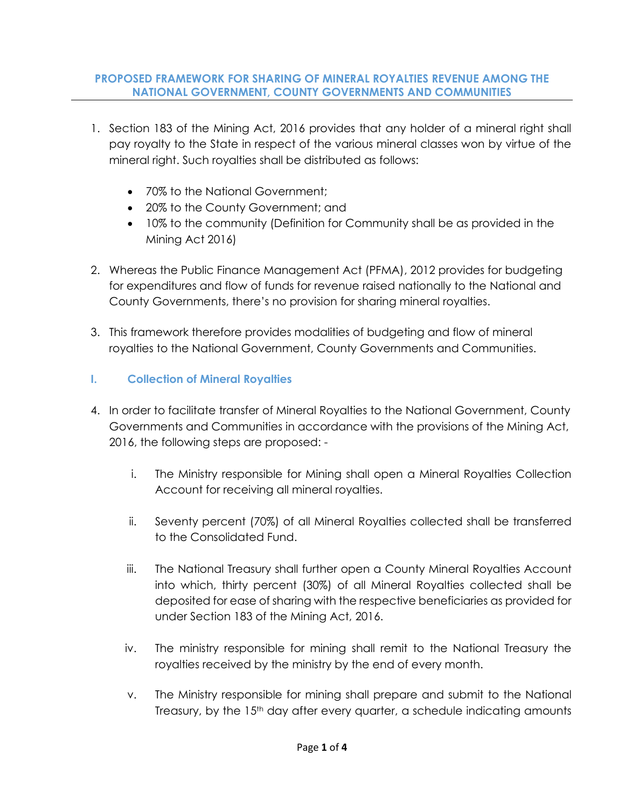### **PROPOSED FRAMEWORK FOR SHARING OF MINERAL ROYALTIES REVENUE AMONG THE NATIONAL GOVERNMENT, COUNTY GOVERNMENTS AND COMMUNITIES**

- 1. Section 183 of the Mining Act, 2016 provides that any holder of a mineral right shall pay royalty to the State in respect of the various mineral classes won by virtue of the mineral right. Such royalties shall be distributed as follows:
	- 70% to the National Government;
	- 20% to the County Government; and
	- 10% to the community (Definition for Community shall be as provided in the Mining Act 2016)
- 2. Whereas the Public Finance Management Act (PFMA), 2012 provides for budgeting for expenditures and flow of funds for revenue raised nationally to the National and County Governments, there's no provision for sharing mineral royalties.
- 3. This framework therefore provides modalities of budgeting and flow of mineral royalties to the National Government, County Governments and Communities.

## **I. Collection of Mineral Royalties**

- 4. In order to facilitate transfer of Mineral Royalties to the National Government, County Governments and Communities in accordance with the provisions of the Mining Act, 2016, the following steps are proposed:
	- i. The Ministry responsible for Mining shall open a Mineral Royalties Collection Account for receiving all mineral royalties.
	- ii. Seventy percent (70%) of all Mineral Royalties collected shall be transferred to the Consolidated Fund.
	- iii. The National Treasury shall further open a County Mineral Royalties Account into which, thirty percent (30%) of all Mineral Royalties collected shall be deposited for ease of sharing with the respective beneficiaries as provided for under Section 183 of the Mining Act, 2016.
	- iv. The ministry responsible for mining shall remit to the National Treasury the royalties received by the ministry by the end of every month.
	- v. The Ministry responsible for mining shall prepare and submit to the National Treasury, by the 15th day after every quarter, a schedule indicating amounts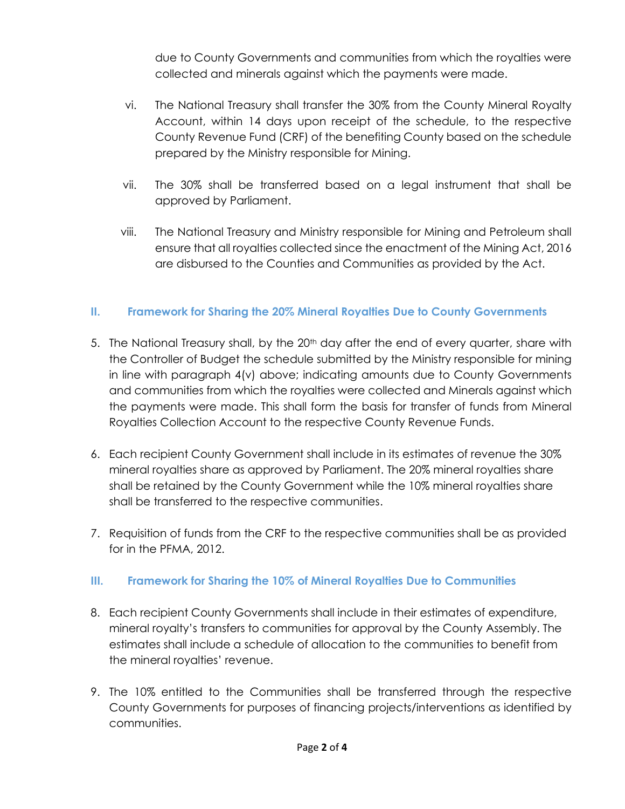due to County Governments and communities from which the royalties were collected and minerals against which the payments were made.

- vi. The National Treasury shall transfer the 30% from the County Mineral Royalty Account, within 14 days upon receipt of the schedule, to the respective County Revenue Fund (CRF) of the benefiting County based on the schedule prepared by the Ministry responsible for Mining.
- vii. The 30% shall be transferred based on a legal instrument that shall be approved by Parliament.
- viii. The National Treasury and Ministry responsible for Mining and Petroleum shall ensure that all royalties collected since the enactment of the Mining Act, 2016 are disbursed to the Counties and Communities as provided by the Act.

## **II. Framework for Sharing the 20% Mineral Royalties Due to County Governments**

- 5. The National Treasury shall, by the  $20<sup>th</sup>$  day after the end of every quarter, share with the Controller of Budget the schedule submitted by the Ministry responsible for mining in line with paragraph 4(v) above; indicating amounts due to County Governments and communities from which the royalties were collected and Minerals against which the payments were made. This shall form the basis for transfer of funds from Mineral Royalties Collection Account to the respective County Revenue Funds.
- 6. Each recipient County Government shall include in its estimates of revenue the 30% mineral royalties share as approved by Parliament. The 20% mineral royalties share shall be retained by the County Government while the 10% mineral royalties share shall be transferred to the respective communities.
- 7. Requisition of funds from the CRF to the respective communities shall be as provided for in the PFMA, 2012.

## **III. Framework for Sharing the 10% of Mineral Royalties Due to Communities**

- 8. Each recipient County Governments shall include in their estimates of expenditure, mineral royalty's transfers to communities for approval by the County Assembly. The estimates shall include a schedule of allocation to the communities to benefit from the mineral royalties' revenue.
- 9. The 10% entitled to the Communities shall be transferred through the respective County Governments for purposes of financing projects/interventions as identified by communities.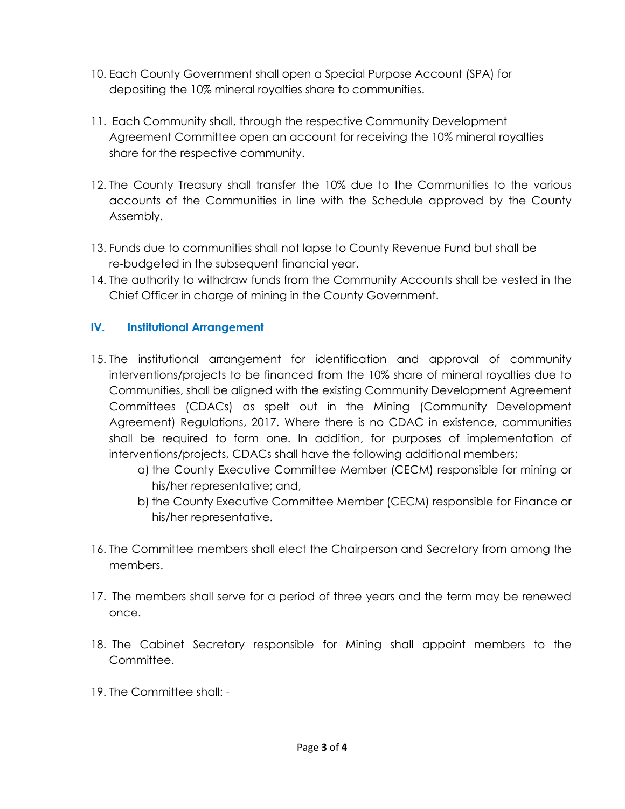- 10. Each County Government shall open a Special Purpose Account (SPA) for depositing the 10% mineral royalties share to communities.
- 11. Each Community shall, through the respective Community Development Agreement Committee open an account for receiving the 10% mineral royalties share for the respective community.
- 12. The County Treasury shall transfer the 10% due to the Communities to the various accounts of the Communities in line with the Schedule approved by the County Assembly.
- 13. Funds due to communities shall not lapse to County Revenue Fund but shall be re-budgeted in the subsequent financial year.
- 14. The authority to withdraw funds from the Community Accounts shall be vested in the Chief Officer in charge of mining in the County Government.

## **IV. Institutional Arrangement**

- 15. The institutional arrangement for identification and approval of community interventions/projects to be financed from the 10% share of mineral royalties due to Communities, shall be aligned with the existing Community Development Agreement Committees (CDACs) as spelt out in the Mining (Community Development Agreement) Regulations, 2017. Where there is no CDAC in existence, communities shall be required to form one. In addition, for purposes of implementation of interventions/projects, CDACs shall have the following additional members;
	- a) the County Executive Committee Member (CECM) responsible for mining or his/her representative; and,
	- b) the County Executive Committee Member (CECM) responsible for Finance or his/her representative.
- 16. The Committee members shall elect the Chairperson and Secretary from among the members.
- 17. The members shall serve for a period of three years and the term may be renewed once.
- 18. The Cabinet Secretary responsible for Mining shall appoint members to the Committee.
- 19. The Committee shall: -